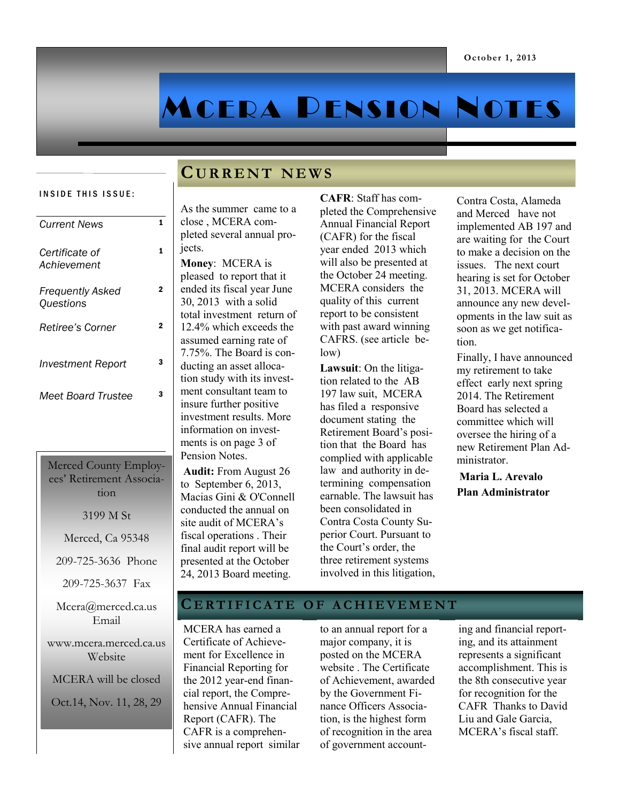# MCERA PENSION NOTES

## **C U R R E N T N E W S**

#### INSIDE THIS ISSUE:

| 1<br><b>Current News</b>                                  |  |  |  |  |  |  |
|-----------------------------------------------------------|--|--|--|--|--|--|
| 1<br>Certificate of<br>Achievement                        |  |  |  |  |  |  |
| $\overline{2}$<br><b>Frequently Asked</b><br>Questions    |  |  |  |  |  |  |
| $\overline{2}$<br>Retiree's Corner                        |  |  |  |  |  |  |
| 3<br><b>Investment Report</b>                             |  |  |  |  |  |  |
| 3<br><b>Meet Board Trustee</b>                            |  |  |  |  |  |  |
|                                                           |  |  |  |  |  |  |
| Merced County Employ-<br>ees' Retirement Associa-<br>tion |  |  |  |  |  |  |
|                                                           |  |  |  |  |  |  |
| 3199 M St                                                 |  |  |  |  |  |  |
| Merced, Ca 95348                                          |  |  |  |  |  |  |
| 209-725-3636 Phone                                        |  |  |  |  |  |  |
| 209-725-3637 Fax                                          |  |  |  |  |  |  |
| Mcera@merced.ca.us<br>Email                               |  |  |  |  |  |  |
| www.mcera.merced.ca.us<br>Website                         |  |  |  |  |  |  |
| MCERA will be closed                                      |  |  |  |  |  |  |

#### As the summer came to a close , MCERA completed several annual projects.

**Money**: MCERA is pleased to report that it ended its fiscal year June 30, 2013 with a solid total investment return of 12.4% which exceeds the assumed earning rate of 7.75%. The Board is conducting an asset allocation study with its investment consultant team to insure further positive investment results. More information on investments is on page 3 of Pension Notes.

**Audit:** From August 26 to September 6, 2013, Macias Gini & O'Connell conducted the annual on site audit of MCERA's fiscal operations . Their final audit report will be presented at the October 24, 2013 Board meeting.

**CAFR**: Staff has completed the Comprehensive Annual Financial Report (CAFR) for the fiscal year ended 2013 which will also be presented at the October 24 meeting. MCERA considers the quality of this current report to be consistent with past award winning CAFRS. (see article below)

**Lawsuit**: On the litigation related to the AB 197 law suit, MCERA has filed a responsive document stating the Retirement Board's position that the Board has complied with applicable law and authority in determining compensation earnable. The lawsuit has been consolidated in Contra Costa County Superior Court. Pursuant to the Court's order, the three retirement systems involved in this litigation, Contra Costa, Alameda and Merced have not implemented AB 197 and are waiting for the Court to make a decision on the issues. The next court hearing is set for October 31, 2013. MCERA will announce any new developments in the law suit as soon as we get notification.

Finally, I have announced my retirement to take effect early next spring 2014. The Retirement Board has selected a committee which will oversee the hiring of a new Retirement Plan Administrator.

**Maria L. Arevalo Plan Administrator**

### **C E R T I F I C A T E O F A C H I E V E M E N T**

MCERA has earned a Certificate of Achievement for Excellence in Financial Reporting for the 2012 year-end financial report, the Comprehensive Annual Financial Report (CAFR). The CAFR is a comprehensive annual report similar

to an annual report for a major company, it is posted on the MCERA website . The Certificate of Achievement, awarded by the Government Finance Officers Association, is the highest form of recognition in the area of government account-

ing and financial reporting, and its attainment represents a significant accomplishment. This is the 8th consecutive year for recognition for the CAFR Thanks to David Liu and Gale Garcia, MCERA's fiscal staff.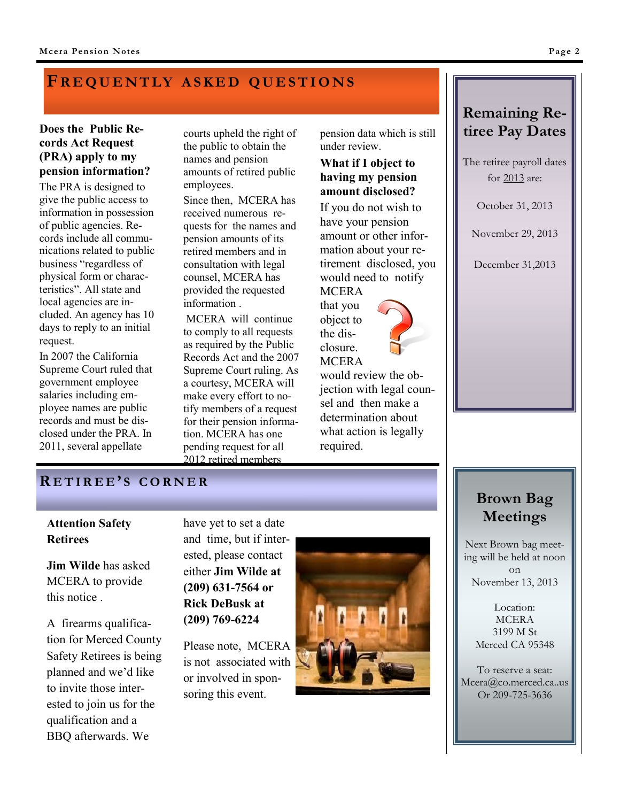## **FR E Q U E N T LY A S K E D Q U E S T I O N S**

#### **Does the Public Records Act Request (PRA) apply to my pension information?**

The PRA is designed to give the public access to information in possession of public agencies. Records include all communications related to public business "regardless of physical form or characteristics". All state and local agencies are included. An agency has 10 days to reply to an initial request.

In 2007 the California Supreme Court ruled that government employee salaries including employee names are public records and must be disclosed under the PRA. In 2011, several appellate

courts upheld the right of the public to obtain the names and pension amounts of retired public employees.

Since then, MCERA has received numerous requests for the names and pension amounts of its retired members and in consultation with legal counsel, MCERA has provided the requested information .

MCERA will continue to comply to all requests as required by the Public Records Act and the 2007 Supreme Court ruling. As a courtesy, MCERA will make every effort to notify members of a request for their pension information. MCERA has one pending request for all 2012 retired members

pension data which is still under review.

#### **What if I object to having my pension amount disclosed?**

If you do not wish to have your pension amount or other information about your retirement disclosed, you would need to notify **MCERA** 

that you object to the disclosure. **MCERA** 

would review the objection with legal counsel and then make a determination about what action is legally required.

## **Remaining Retiree Pay Dates**

The retiree payroll dates for 2013 are:

October 31, 2013

November 29, 2013

December 31,2013

### **R E T I R E E ' S C O R N E R**

#### **Attention Safety Retirees**

**Jim Wilde** has asked MCERA to provide this notice .

A firearms qualification for Merced County Safety Retirees is being planned and we'd like to invite those interested to join us for the qualification and a BBQ afterwards. We

have yet to set a date and time, but if interested, please contact either **Jim Wilde at (209) 631-7564 or Rick DeBusk at (209) 769-6224**

Please note, MCERA is not associated with or involved in sponsoring this event.



# **Brown Bag Meetings**

Next Brown bag meeting will be held at noon on November 13, 2013

> Location: MCERA 3199 M St Merced CA 95348

To reserve a seat: Mcera@co.merced.ca..us Or 209-725-3636